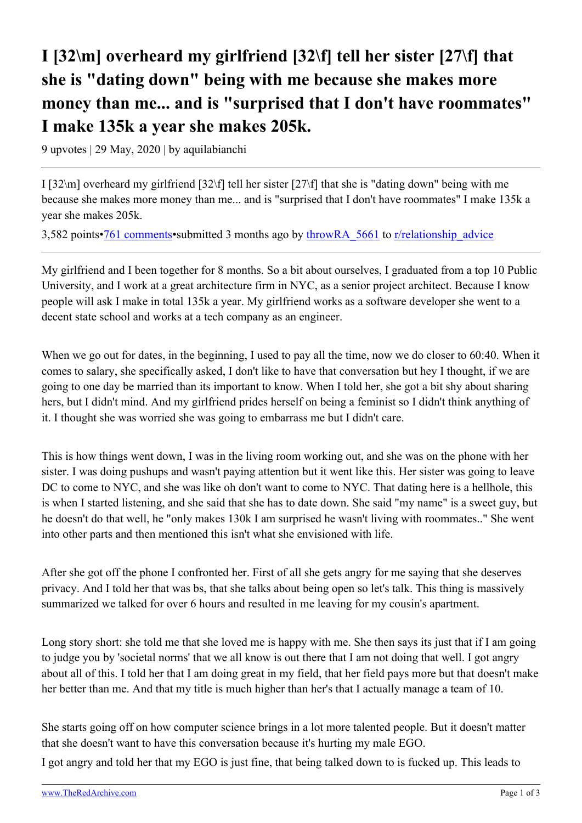## **I [32\m] overheard my girlfriend [32\f] tell her sister [27\f] that she is "dating down" being with me because she makes more money than me... and is "surprised that I don't have roommates" I make 135k a year she makes 205k.**

9 upvotes | 29 May, 2020 | by aquilabianchi

I [32\m] overheard my girlfriend [32\f] tell her sister [27\f] that she is "dating down" being with me because she makes more money than me... and is "surprised that I don't have roommates" I make 135k a year she makes 205k.

3,582 points[•761 comments](https://old.reddit.com/r/relationship_advice/comments/gqinqz/i_32m_overheard_my_girlfriend_32f_tell_her_sister/)•submitted 3 months ago by [throwRA\\_5661](https://old.reddit.com/user/throwRA_5661) to [r/relationship\\_advice](https://old.reddit.com/r/relationship_advice/)

My girlfriend and I been together for 8 months. So a bit about ourselves, I graduated from a top 10 Public University, and I work at a great architecture firm in NYC, as a senior project architect. Because I know people will ask I make in total 135k a year. My girlfriend works as a software developer she went to a decent state school and works at a tech company as an engineer.

When we go out for dates, in the beginning, I used to pay all the time, now we do closer to 60:40. When it comes to salary, she specifically asked, I don't like to have that conversation but hey I thought, if we are going to one day be married than its important to know. When I told her, she got a bit shy about sharing hers, but I didn't mind. And my girlfriend prides herself on being a feminist so I didn't think anything of it. I thought she was worried she was going to embarrass me but I didn't care.

This is how things went down, I was in the living room working out, and she was on the phone with her sister. I was doing pushups and wasn't paying attention but it went like this. Her sister was going to leave DC to come to NYC, and she was like oh don't want to come to NYC. That dating here is a hellhole, this is when I started listening, and she said that she has to date down. She said "my name" is a sweet guy, but he doesn't do that well, he "only makes 130k I am surprised he wasn't living with roommates.." She went into other parts and then mentioned this isn't what she envisioned with life.

After she got off the phone I confronted her. First of all she gets angry for me saying that she deserves privacy. And I told her that was bs, that she talks about being open so let's talk. This thing is massively summarized we talked for over 6 hours and resulted in me leaving for my cousin's apartment.

Long story short: she told me that she loved me is happy with me. She then says its just that if I am going to judge you by 'societal norms' that we all know is out there that I am not doing that well. I got angry about all of this. I told her that I am doing great in my field, that her field pays more but that doesn't make her better than me. And that my title is much higher than her's that I actually manage a team of 10.

She starts going off on how computer science brings in a lot more talented people. But it doesn't matter that she doesn't want to have this conversation because it's hurting my male EGO.

I got angry and told her that my EGO is just fine, that being talked down to is fucked up. This leads to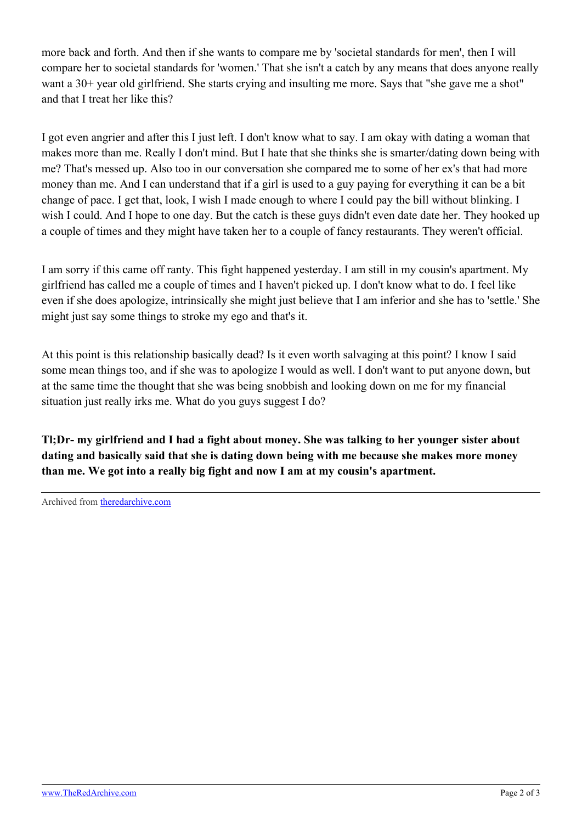more back and forth. And then if she wants to compare me by 'societal standards for men', then I will compare her to societal standards for 'women.' That she isn't a catch by any means that does anyone really want a 30+ year old girlfriend. She starts crying and insulting me more. Says that "she gave me a shot" and that I treat her like this?

I got even angrier and after this I just left. I don't know what to say. I am okay with dating a woman that makes more than me. Really I don't mind. But I hate that she thinks she is smarter/dating down being with me? That's messed up. Also too in our conversation she compared me to some of her ex's that had more money than me. And I can understand that if a girl is used to a guy paying for everything it can be a bit change of pace. I get that, look, I wish I made enough to where I could pay the bill without blinking. I wish I could. And I hope to one day. But the catch is these guys didn't even date date her. They hooked up a couple of times and they might have taken her to a couple of fancy restaurants. They weren't official.

I am sorry if this came off ranty. This fight happened yesterday. I am still in my cousin's apartment. My girlfriend has called me a couple of times and I haven't picked up. I don't know what to do. I feel like even if she does apologize, intrinsically she might just believe that I am inferior and she has to 'settle.' She might just say some things to stroke my ego and that's it.

At this point is this relationship basically dead? Is it even worth salvaging at this point? I know I said some mean things too, and if she was to apologize I would as well. I don't want to put anyone down, but at the same time the thought that she was being snobbish and looking down on me for my financial situation just really irks me. What do you guys suggest I do?

**Tl;Dr- my girlfriend and I had a fight about money. She was talking to her younger sister about dating and basically said that she is dating down being with me because she makes more money than me. We got into a really big fight and now I am at my cousin's apartment.**

Archived from [theredarchive.com](https://theredarchive.com/r/TheRedPillStories/i-32m-overheard-my-girlfriend-32f-tell-her-sister.670228)